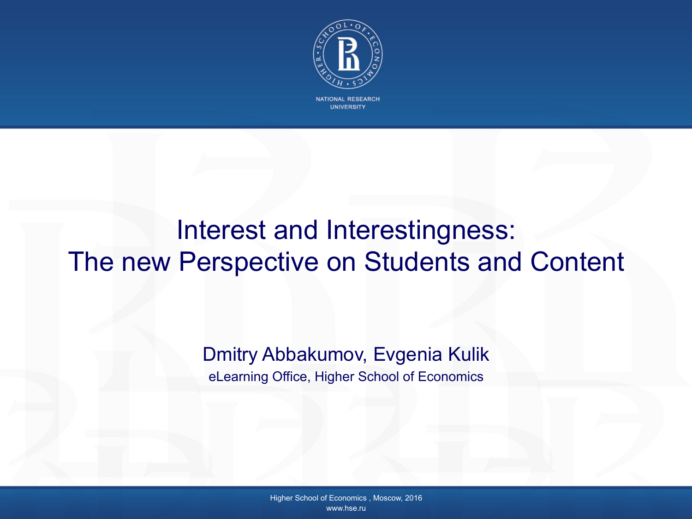

**NATIONAL RESEARCH UNIVERSITY** 

#### Interest and Interestingness: The new Perspective on Students and Content

Dmitry Abbakumov, Evgenia Kulik eLearning Office, Higher School of Economics

> Higher School of Economics , Moscow, 2016 www.hse.ru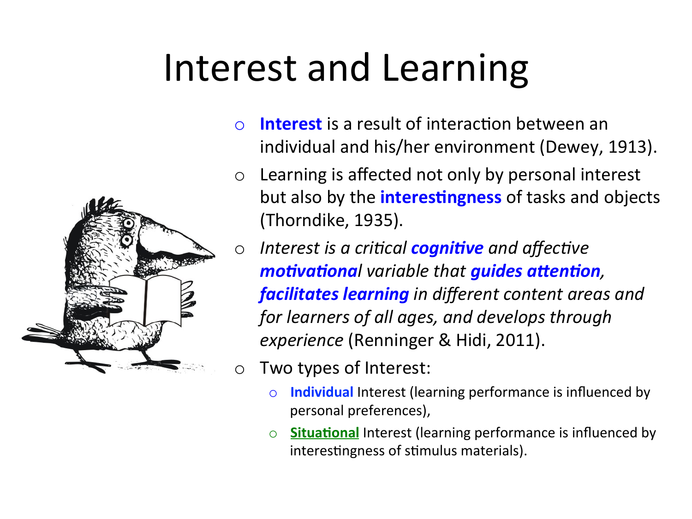# Interest and Learning



- $\circ$  Learning is affected not only by personal interest but also by the *interestingness* of tasks and objects (Thorndike, 1935).
- o *Interest is a critical cognitive and affective motivational variable that guides attention,* **facilitates learning** in different content areas and *for learners of all ages, and develops through experience* (Renninger & Hidi, 2011).
- $\circ$  Two types of Interest:
	- o **Individual** Interest (learning performance is influenced by personal preferences),
	- o **Situational** Interest (learning performance is influenced by interestingness of stimulus materials).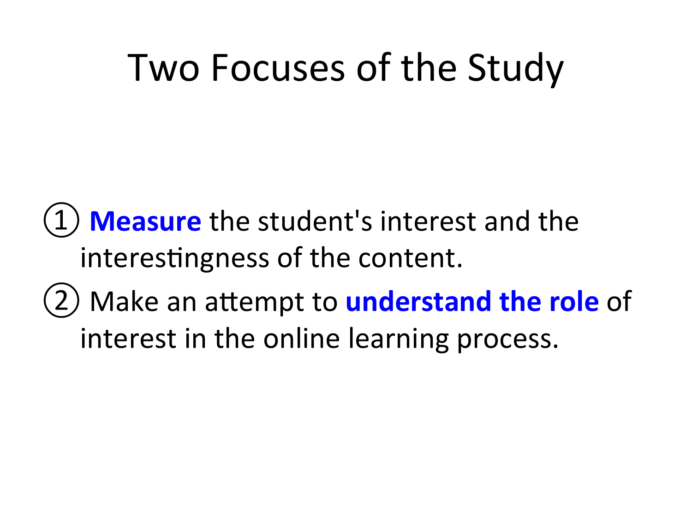#### Two Focuses of the Study

**Measure** the student's interest and the interestingness of the content.

(2) Make an attempt to **understand the role** of interest in the online learning process.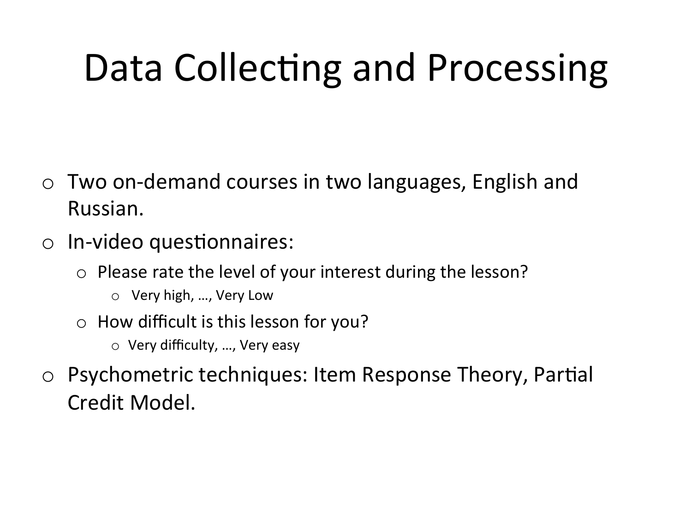# Data Collecting and Processing

- Two on-demand courses in two languages, English and Russian.
- $\circ$  In-video questionnaires:
	- $\circ$  Please rate the level of your interest during the lesson?
		- Very high, ..., Very Low
	- $\circ$  How difficult is this lesson for you?
		- $\circ$  Very difficulty, ..., Very easy
- $\circ$  Psychometric techniques: Item Response Theory, Partial Credit Model.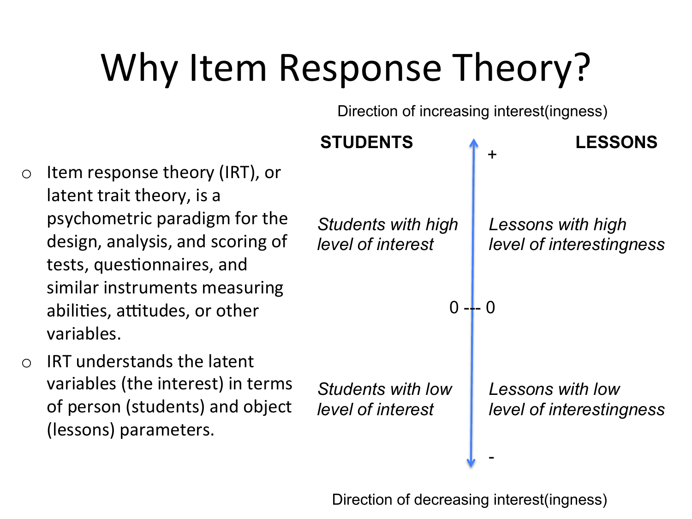# Why Item Response Theory?

Direction of increasing interest(ingness)

|                |                                                                                                                                                                                                                                                 | <b>STUDENTS</b>                                | <b>LESSONS</b><br>$\ddot{}$                   |
|----------------|-------------------------------------------------------------------------------------------------------------------------------------------------------------------------------------------------------------------------------------------------|------------------------------------------------|-----------------------------------------------|
| $\overline{O}$ | Item response theory (IRT), or<br>latent trait theory, is a<br>psychometric paradigm for the<br>design, analysis, and scoring of<br>tests, questionnaires, and<br>similar instruments measuring<br>abilities, attitudes, or other<br>variables. | <b>Students with high</b><br>level of interest | Lessons with high<br>level of interestingness |
| $\overline{O}$ | <b>IRT</b> understands the latent<br>variables (the interest) in terms<br>of person (students) and object<br>(lessons) parameters.                                                                                                              | <b>Students with low</b><br>level of interest  | Lessons with low<br>level of interestingness  |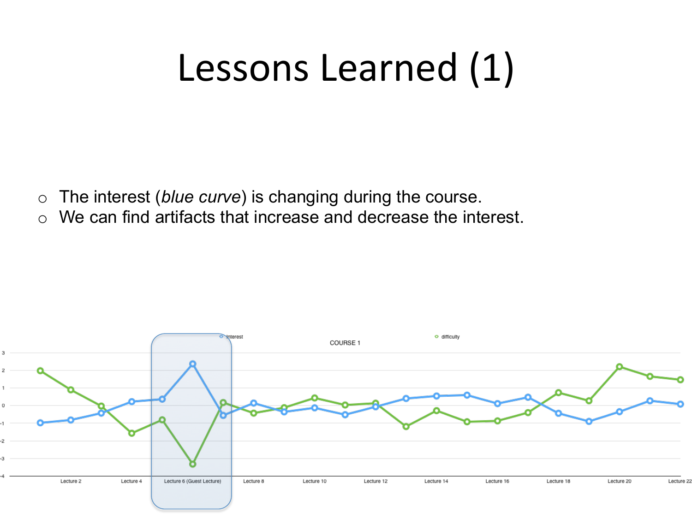#### Lessons Learned (1)

- o The interest (*blue curve*) is changing during the course.
- o We can find artifacts that increase and decrease the interest.

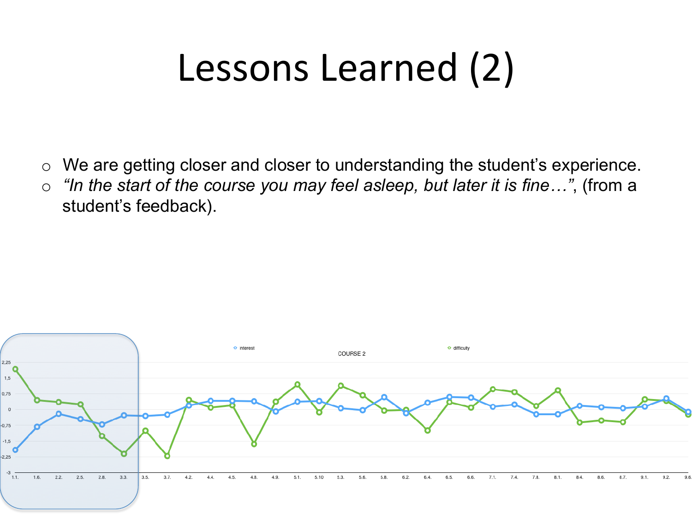### Lessons Learned (2)

- o We are getting closer and closer to understanding the student's experience.
- o *"In the start of the course you may feel asleep, but later it is fine…"*, (from a student's feedback).

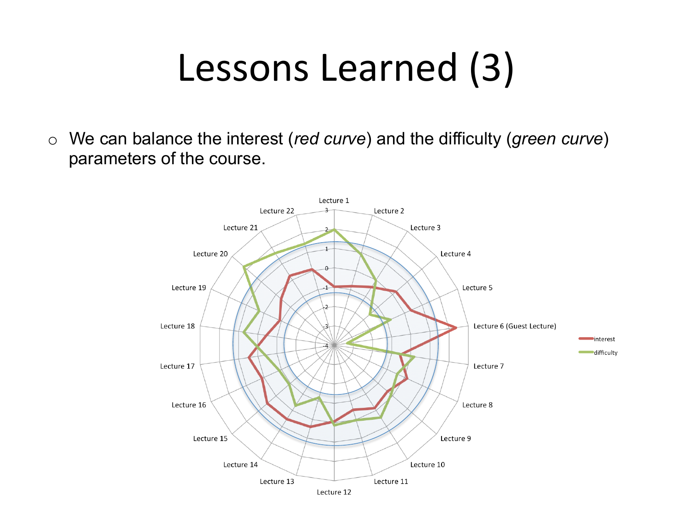### Lessons Learned (3)

o We can balance the interest (*red curve*) and the difficulty (*green curve*) parameters of the course.

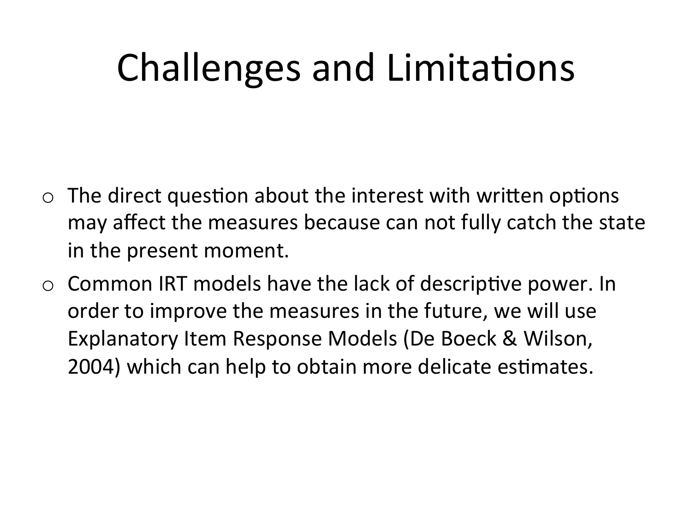# Challenges and Limitations

- $\circ$  The direct question about the interest with written options may affect the measures because can not fully catch the state in the present moment.
- $\circ$  Common IRT models have the lack of descriptive power. In order to improve the measures in the future, we will use Explanatory Item Response Models (De Boeck & Wilson, 2004) which can help to obtain more delicate estimates.